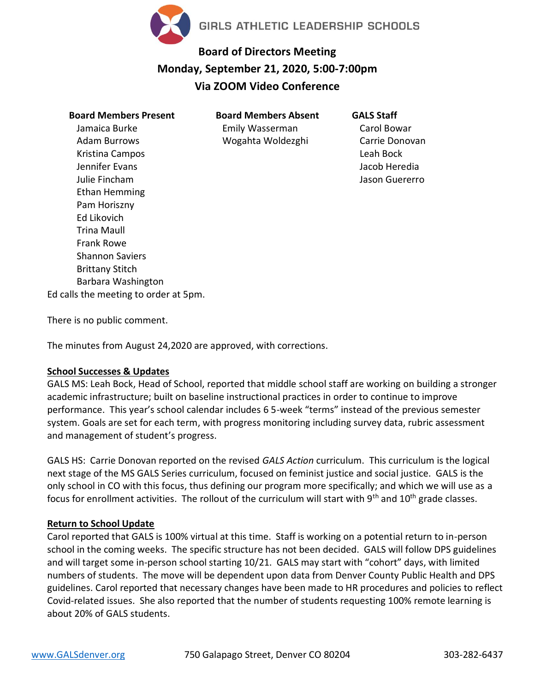

# **Board of Directors Meeting Monday, September 21, 2020, 5:00-7:00pm Via ZOOM Video Conference**

## **Board Members Present** Jamaica Burke Adam Burrows Kristina Campos Jennifer Evans Julie Fincham Ethan Hemming Pam Horiszny Ed Likovich Trina Maull Frank Rowe Shannon Saviers Brittany Stitch Barbara Washington Ed calls the meeting to order at 5pm.

**Board Members Absent** Emily Wasserman Wogahta Woldezghi

**GALS Staff**

Carol Bowar Carrie Donovan Leah Bock Jacob Heredia Jason Guererro

There is no public comment.

The minutes from August 24,2020 are approved, with corrections.

## **School Successes & Updates**

GALS MS: Leah Bock, Head of School, reported that middle school staff are working on building a stronger academic infrastructure; built on baseline instructional practices in order to continue to improve performance. This year's school calendar includes 6 5-week "terms" instead of the previous semester system. Goals are set for each term, with progress monitoring including survey data, rubric assessment and management of student's progress.

GALS HS: Carrie Donovan reported on the revised *GALS Action* curriculum. This curriculum is the logical next stage of the MS GALS Series curriculum, focused on feminist justice and social justice. GALS is the only school in CO with this focus, thus defining our program more specifically; and which we will use as a focus for enrollment activities. The rollout of the curriculum will start with  $9<sup>th</sup>$  and  $10<sup>th</sup>$  grade classes.

## **Return to School Update**

Carol reported that GALS is 100% virtual at this time. Staff is working on a potential return to in-person school in the coming weeks. The specific structure has not been decided. GALS will follow DPS guidelines and will target some in-person school starting 10/21. GALS may start with "cohort" days, with limited numbers of students. The move will be dependent upon data from Denver County Public Health and DPS guidelines. Carol reported that necessary changes have been made to HR procedures and policies to reflect Covid-related issues. She also reported that the number of students requesting 100% remote learning is about 20% of GALS students.